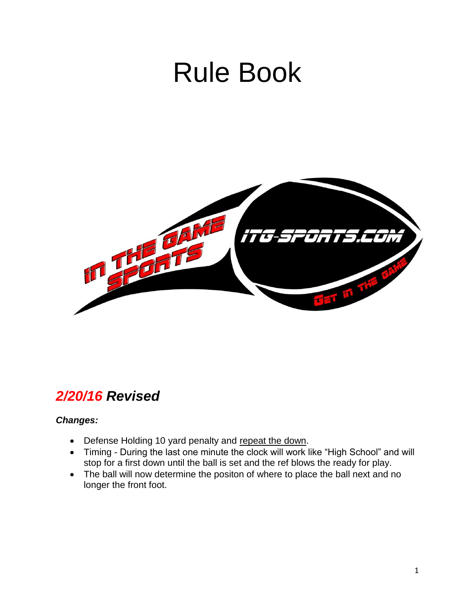# Rule Book



### *2/20/16 Revised*

#### *Changes:*

- Defense Holding 10 yard penalty and repeat the down.
- Timing During the last one minute the clock will work like "High School" and will stop for a first down until the ball is set and the ref blows the ready for play.
- The ball will now determine the positon of where to place the ball next and no longer the front foot.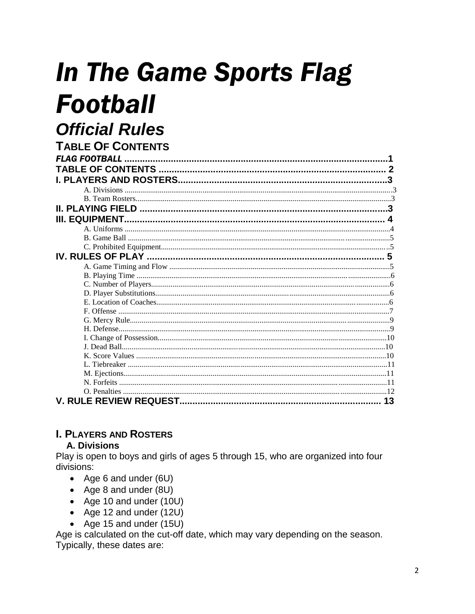## **In The Game Sports Flag Football Official Rules**

| <b>I ABLE OF CONTENTS</b> |    |
|---------------------------|----|
| <b>FLAG FOOTBALL</b>      |    |
|                           |    |
|                           |    |
|                           |    |
|                           |    |
|                           |    |
|                           |    |
|                           |    |
|                           |    |
|                           |    |
|                           |    |
|                           |    |
|                           |    |
|                           |    |
|                           |    |
|                           |    |
|                           |    |
|                           |    |
|                           |    |
|                           |    |
|                           |    |
|                           |    |
|                           |    |
|                           |    |
|                           |    |
|                           |    |
|                           |    |
|                           | 13 |

#### **I. PLAYERS AND ROSTERS**

#### **A. Divisions**

Play is open to boys and girls of ages 5 through 15, who are organized into four divisions:

- Age 6 and under (6U)
- Age 8 and under (8U)
- Age 10 and under (10U)
- Age 12 and under (12U)
- Age 15 and under (15U)

Age is calculated on the cut-off date, which may vary depending on the season. Typically, these dates are: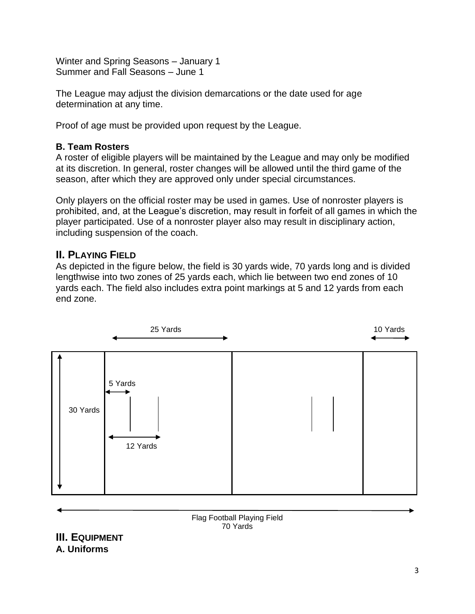Winter and Spring Seasons – January 1 Summer and Fall Seasons – June 1

The League may adjust the division demarcations or the date used for age determination at any time.

Proof of age must be provided upon request by the League.

#### **B. Team Rosters**

A roster of eligible players will be maintained by the League and may only be modified at its discretion. In general, roster changes will be allowed until the third game of the season, after which they are approved only under special circumstances.

Only players on the official roster may be used in games. Use of nonroster players is prohibited, and, at the League's discretion, may result in forfeit of all games in which the player participated. Use of a nonroster player also may result in disciplinary action, including suspension of the coach.

#### **II. PLAYING FIELD**

As depicted in the figure below, the field is 30 yards wide, 70 yards long and is divided lengthwise into two zones of 25 yards each, which lie between two end zones of 10 yards each. The field also includes extra point markings at 5 and 12 yards from each end zone.



Flag Football Playing Field 70 Yards

**III. EQUIPMENT A. Uniforms**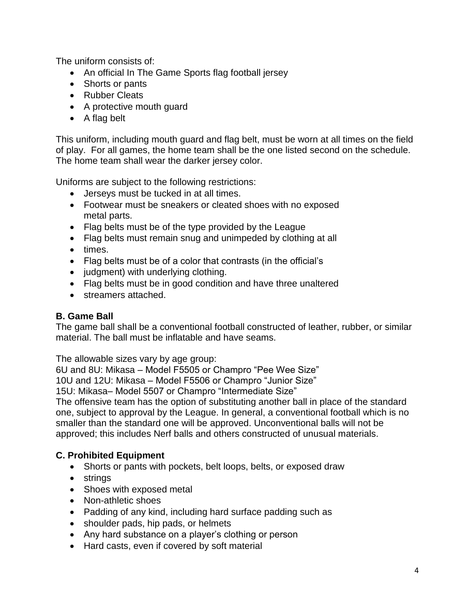The uniform consists of:

- An official In The Game Sports flag football jersey
- Shorts or pants
- Rubber Cleats
- A protective mouth guard
- A flag belt

This uniform, including mouth guard and flag belt, must be worn at all times on the field of play. For all games, the home team shall be the one listed second on the schedule. The home team shall wear the darker jersey color.

Uniforms are subject to the following restrictions:

- Jerseys must be tucked in at all times.
- Footwear must be sneakers or cleated shoes with no exposed metal parts.
- Flag belts must be of the type provided by the League
- Flag belts must remain snug and unimpeded by clothing at all
- times.
- Flag belts must be of a color that contrasts (in the official's
- judgment) with underlying clothing.
- Flag belts must be in good condition and have three unaltered
- streamers attached.

#### **B. Game Ball**

The game ball shall be a conventional football constructed of leather, rubber, or similar material. The ball must be inflatable and have seams.

The allowable sizes vary by age group:

6U and 8U: Mikasa – Model F5505 or Champro "Pee Wee Size"

10U and 12U: Mikasa – Model F5506 or Champro "Junior Size"

15U: Mikasa– Model 5507 or Champro "Intermediate Size"

The offensive team has the option of substituting another ball in place of the standard one, subject to approval by the League. In general, a conventional football which is no smaller than the standard one will be approved. Unconventional balls will not be approved; this includes Nerf balls and others constructed of unusual materials.

#### **C. Prohibited Equipment**

- Shorts or pants with pockets, belt loops, belts, or exposed draw
- strings
- Shoes with exposed metal
- Non-athletic shoes
- Padding of any kind, including hard surface padding such as
- shoulder pads, hip pads, or helmets
- Any hard substance on a player's clothing or person
- Hard casts, even if covered by soft material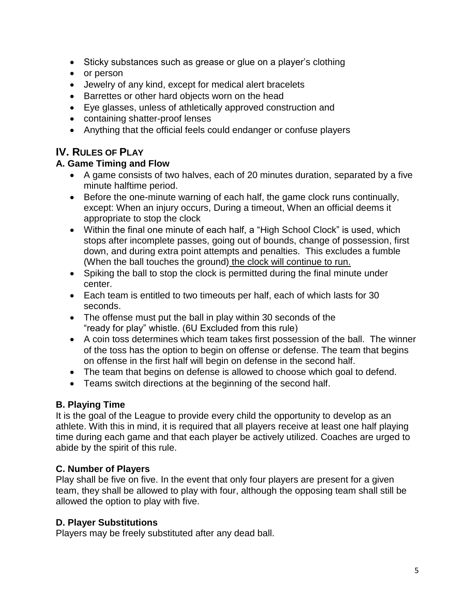- Sticky substances such as grease or glue on a player's clothing
- or person
- Jewelry of any kind, except for medical alert bracelets
- Barrettes or other hard objects worn on the head
- Eye glasses, unless of athletically approved construction and
- containing shatter-proof lenses
- Anything that the official feels could endanger or confuse players

#### **IV. RULES OF PLAY**

#### **A. Game Timing and Flow**

- A game consists of two halves, each of 20 minutes duration, separated by a five minute halftime period.
- Before the one-minute warning of each half, the game clock runs continually, except: When an injury occurs, During a timeout, When an official deems it appropriate to stop the clock
- Within the final one minute of each half, a "High School Clock" is used, which stops after incomplete passes, going out of bounds, change of possession, first down, and during extra point attempts and penalties. This excludes a fumble (When the ball touches the ground) the clock will continue to run.
- Spiking the ball to stop the clock is permitted during the final minute under center.
- Each team is entitled to two timeouts per half, each of which lasts for 30 seconds.
- The offense must put the ball in play within 30 seconds of the "ready for play" whistle. (6U Excluded from this rule)
- A coin toss determines which team takes first possession of the ball. The winner of the toss has the option to begin on offense or defense. The team that begins on offense in the first half will begin on defense in the second half.
- The team that begins on defense is allowed to choose which goal to defend.
- Teams switch directions at the beginning of the second half.

#### **B. Playing Time**

It is the goal of the League to provide every child the opportunity to develop as an athlete. With this in mind, it is required that all players receive at least one half playing time during each game and that each player be actively utilized. Coaches are urged to abide by the spirit of this rule.

#### **C. Number of Players**

Play shall be five on five. In the event that only four players are present for a given team, they shall be allowed to play with four, although the opposing team shall still be allowed the option to play with five.

#### **D. Player Substitutions**

Players may be freely substituted after any dead ball.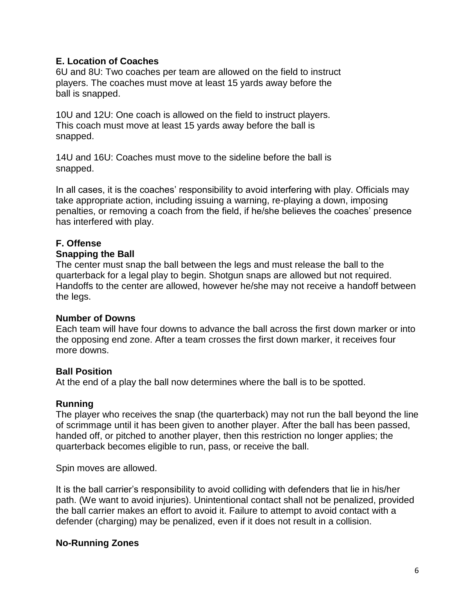#### **E. Location of Coaches**

6U and 8U: Two coaches per team are allowed on the field to instruct players. The coaches must move at least 15 yards away before the ball is snapped.

10U and 12U: One coach is allowed on the field to instruct players. This coach must move at least 15 yards away before the ball is snapped.

14U and 16U: Coaches must move to the sideline before the ball is snapped.

In all cases, it is the coaches' responsibility to avoid interfering with play. Officials may take appropriate action, including issuing a warning, re-playing a down, imposing penalties, or removing a coach from the field, if he/she believes the coaches' presence has interfered with play.

#### **F. Offense**

#### **Snapping the Ball**

The center must snap the ball between the legs and must release the ball to the quarterback for a legal play to begin. Shotgun snaps are allowed but not required. Handoffs to the center are allowed, however he/she may not receive a handoff between the legs.

#### **Number of Downs**

Each team will have four downs to advance the ball across the first down marker or into the opposing end zone. After a team crosses the first down marker, it receives four more downs.

#### **Ball Position**

At the end of a play the ball now determines where the ball is to be spotted.

#### **Running**

The player who receives the snap (the quarterback) may not run the ball beyond the line of scrimmage until it has been given to another player. After the ball has been passed, handed off, or pitched to another player, then this restriction no longer applies; the quarterback becomes eligible to run, pass, or receive the ball.

Spin moves are allowed.

It is the ball carrier's responsibility to avoid colliding with defenders that lie in his/her path. (We want to avoid injuries). Unintentional contact shall not be penalized, provided the ball carrier makes an effort to avoid it. Failure to attempt to avoid contact with a defender (charging) may be penalized, even if it does not result in a collision.

#### **No-Running Zones**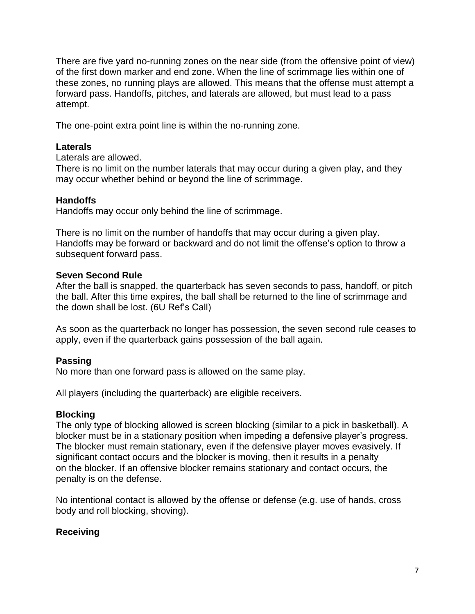There are five yard no-running zones on the near side (from the offensive point of view) of the first down marker and end zone. When the line of scrimmage lies within one of these zones, no running plays are allowed. This means that the offense must attempt a forward pass. Handoffs, pitches, and laterals are allowed, but must lead to a pass attempt.

The one-point extra point line is within the no-running zone.

#### **Laterals**

Laterals are allowed.

There is no limit on the number laterals that may occur during a given play, and they may occur whether behind or beyond the line of scrimmage.

#### **Handoffs**

Handoffs may occur only behind the line of scrimmage.

There is no limit on the number of handoffs that may occur during a given play. Handoffs may be forward or backward and do not limit the offense's option to throw a subsequent forward pass.

#### **Seven Second Rule**

After the ball is snapped, the quarterback has seven seconds to pass, handoff, or pitch the ball. After this time expires, the ball shall be returned to the line of scrimmage and the down shall be lost. (6U Ref's Call)

As soon as the quarterback no longer has possession, the seven second rule ceases to apply, even if the quarterback gains possession of the ball again.

#### **Passing**

No more than one forward pass is allowed on the same play.

All players (including the quarterback) are eligible receivers.

#### **Blocking**

The only type of blocking allowed is screen blocking (similar to a pick in basketball). A blocker must be in a stationary position when impeding a defensive player's progress. The blocker must remain stationary, even if the defensive player moves evasively. If significant contact occurs and the blocker is moving, then it results in a penalty on the blocker. If an offensive blocker remains stationary and contact occurs, the penalty is on the defense.

No intentional contact is allowed by the offense or defense (e.g. use of hands, cross body and roll blocking, shoving).

#### **Receiving**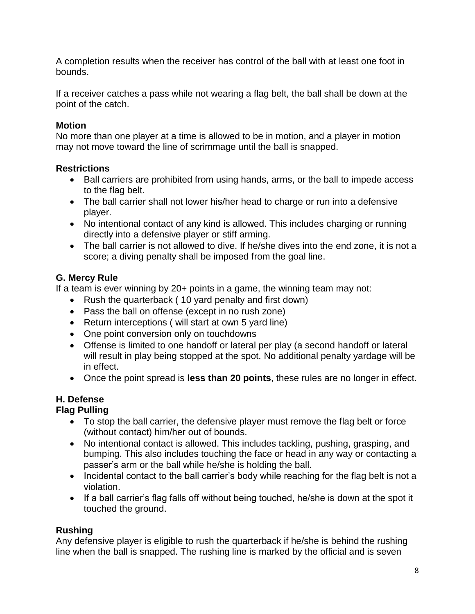A completion results when the receiver has control of the ball with at least one foot in bounds.

If a receiver catches a pass while not wearing a flag belt, the ball shall be down at the point of the catch.

#### **Motion**

No more than one player at a time is allowed to be in motion, and a player in motion may not move toward the line of scrimmage until the ball is snapped.

#### **Restrictions**

- Ball carriers are prohibited from using hands, arms, or the ball to impede access to the flag belt.
- The ball carrier shall not lower his/her head to charge or run into a defensive player.
- No intentional contact of any kind is allowed. This includes charging or running directly into a defensive player or stiff arming.
- The ball carrier is not allowed to dive. If he/she dives into the end zone, it is not a score; a diving penalty shall be imposed from the goal line.

#### **G. Mercy Rule**

If a team is ever winning by 20+ points in a game, the winning team may not:

- Rush the quarterback ( 10 yard penalty and first down)
- Pass the ball on offense (except in no rush zone)
- Return interceptions ( will start at own 5 yard line)
- One point conversion only on touchdowns
- Offense is limited to one handoff or lateral per play (a second handoff or lateral will result in play being stopped at the spot. No additional penalty yardage will be in effect.
- Once the point spread is **less than 20 points**, these rules are no longer in effect.

#### **H. Defense**

#### **Flag Pulling**

- To stop the ball carrier, the defensive player must remove the flag belt or force (without contact) him/her out of bounds.
- No intentional contact is allowed. This includes tackling, pushing, grasping, and bumping. This also includes touching the face or head in any way or contacting a passer's arm or the ball while he/she is holding the ball.
- Incidental contact to the ball carrier's body while reaching for the flag belt is not a violation.
- If a ball carrier's flag falls off without being touched, he/she is down at the spot it touched the ground.

#### **Rushing**

Any defensive player is eligible to rush the quarterback if he/she is behind the rushing line when the ball is snapped. The rushing line is marked by the official and is seven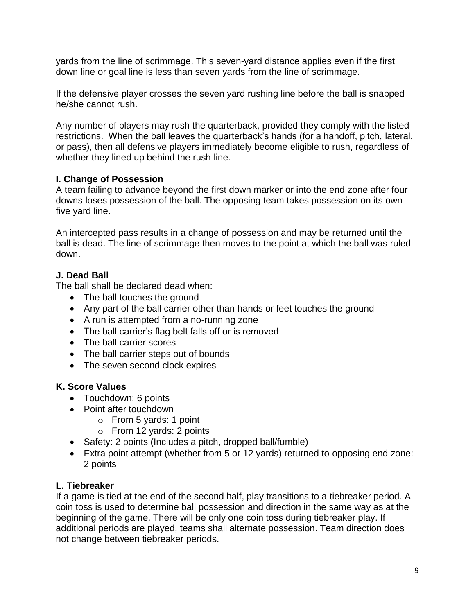yards from the line of scrimmage. This seven-yard distance applies even if the first down line or goal line is less than seven yards from the line of scrimmage.

If the defensive player crosses the seven yard rushing line before the ball is snapped he/she cannot rush.

Any number of players may rush the quarterback, provided they comply with the listed restrictions. When the ball leaves the quarterback's hands (for a handoff, pitch, lateral, or pass), then all defensive players immediately become eligible to rush, regardless of whether they lined up behind the rush line.

#### **I. Change of Possession**

A team failing to advance beyond the first down marker or into the end zone after four downs loses possession of the ball. The opposing team takes possession on its own five yard line.

An intercepted pass results in a change of possession and may be returned until the ball is dead. The line of scrimmage then moves to the point at which the ball was ruled down.

#### **J. Dead Ball**

The ball shall be declared dead when:

- The ball touches the ground
- Any part of the ball carrier other than hands or feet touches the ground
- A run is attempted from a no-running zone
- The ball carrier's flag belt falls off or is removed
- The ball carrier scores
- The ball carrier steps out of bounds
- The seven second clock expires

#### **K. Score Values**

- Touchdown: 6 points
- Point after touchdown
	- o From 5 yards: 1 point
	- o From 12 yards: 2 points
- Safety: 2 points (Includes a pitch, dropped ball/fumble)
- Extra point attempt (whether from 5 or 12 yards) returned to opposing end zone: 2 points

#### **L. Tiebreaker**

If a game is tied at the end of the second half, play transitions to a tiebreaker period. A coin toss is used to determine ball possession and direction in the same way as at the beginning of the game. There will be only one coin toss during tiebreaker play. If additional periods are played, teams shall alternate possession. Team direction does not change between tiebreaker periods.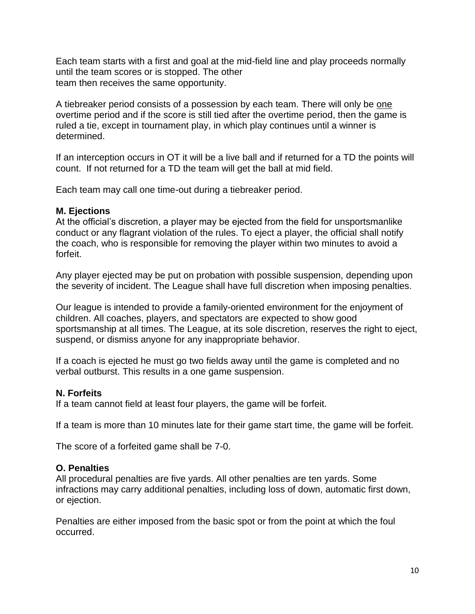Each team starts with a first and goal at the mid-field line and play proceeds normally until the team scores or is stopped. The other team then receives the same opportunity.

A tiebreaker period consists of a possession by each team. There will only be one overtime period and if the score is still tied after the overtime period, then the game is ruled a tie, except in tournament play, in which play continues until a winner is determined.

If an interception occurs in OT it will be a live ball and if returned for a TD the points will count. If not returned for a TD the team will get the ball at mid field.

Each team may call one time-out during a tiebreaker period.

#### **M. Ejections**

At the official's discretion, a player may be ejected from the field for unsportsmanlike conduct or any flagrant violation of the rules. To eject a player, the official shall notify the coach, who is responsible for removing the player within two minutes to avoid a forfeit.

Any player ejected may be put on probation with possible suspension, depending upon the severity of incident. The League shall have full discretion when imposing penalties.

Our league is intended to provide a family-oriented environment for the enjoyment of children. All coaches, players, and spectators are expected to show good sportsmanship at all times. The League, at its sole discretion, reserves the right to eject, suspend, or dismiss anyone for any inappropriate behavior.

If a coach is ejected he must go two fields away until the game is completed and no verbal outburst. This results in a one game suspension.

#### **N. Forfeits**

If a team cannot field at least four players, the game will be forfeit.

If a team is more than 10 minutes late for their game start time, the game will be forfeit.

The score of a forfeited game shall be 7-0.

#### **O. Penalties**

All procedural penalties are five yards. All other penalties are ten yards. Some infractions may carry additional penalties, including loss of down, automatic first down, or ejection.

Penalties are either imposed from the basic spot or from the point at which the foul occurred.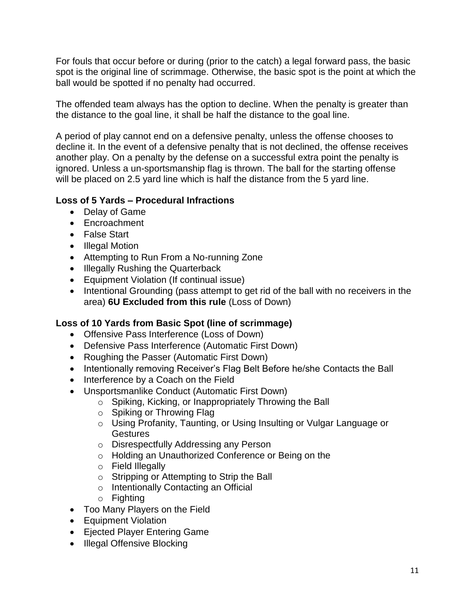For fouls that occur before or during (prior to the catch) a legal forward pass, the basic spot is the original line of scrimmage. Otherwise, the basic spot is the point at which the ball would be spotted if no penalty had occurred.

The offended team always has the option to decline. When the penalty is greater than the distance to the goal line, it shall be half the distance to the goal line.

A period of play cannot end on a defensive penalty, unless the offense chooses to decline it. In the event of a defensive penalty that is not declined, the offense receives another play. On a penalty by the defense on a successful extra point the penalty is ignored. Unless a un-sportsmanship flag is thrown. The ball for the starting offense will be placed on 2.5 yard line which is half the distance from the 5 yard line.

#### **Loss of 5 Yards – Procedural Infractions**

- Delay of Game
- Encroachment
- False Start
- Illegal Motion
- Attempting to Run From a No-running Zone
- Illegally Rushing the Quarterback
- Equipment Violation (If continual issue)
- Intentional Grounding (pass attempt to get rid of the ball with no receivers in the area) **6U Excluded from this rule** (Loss of Down)

#### **Loss of 10 Yards from Basic Spot (line of scrimmage)**

- Offensive Pass Interference (Loss of Down)
- Defensive Pass Interference (Automatic First Down)
- Roughing the Passer (Automatic First Down)
- Intentionally removing Receiver's Flag Belt Before he/she Contacts the Ball
- Interference by a Coach on the Field
- Unsportsmanlike Conduct (Automatic First Down)
	- o Spiking, Kicking, or Inappropriately Throwing the Ball
	- o Spiking or Throwing Flag
	- o Using Profanity, Taunting, or Using Insulting or Vulgar Language or **Gestures**
	- o Disrespectfully Addressing any Person
	- o Holding an Unauthorized Conference or Being on the
	- o Field Illegally
	- o Stripping or Attempting to Strip the Ball
	- o Intentionally Contacting an Official
	- o Fighting
- Too Many Players on the Field
- Equipment Violation
- Ejected Player Entering Game
- Illegal Offensive Blocking